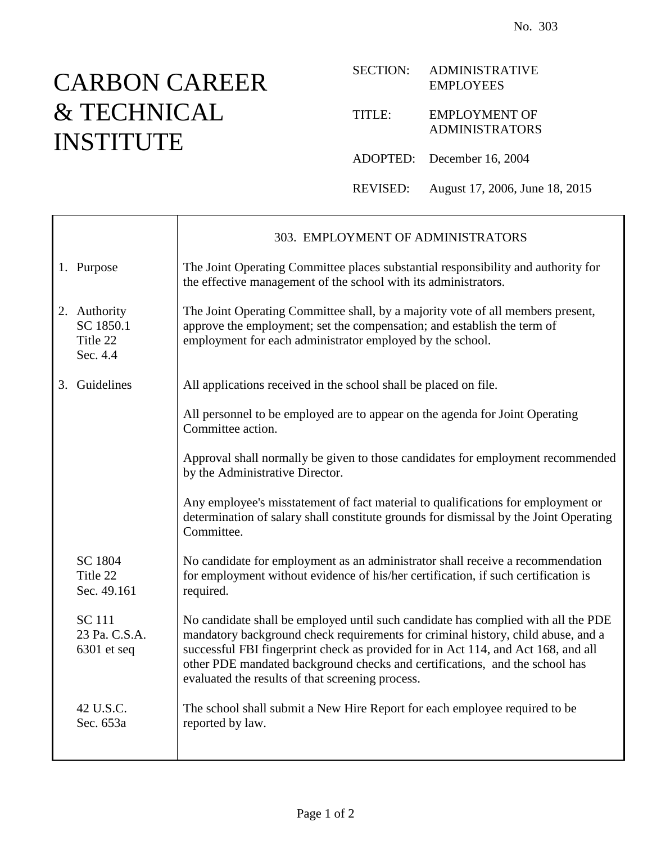## CARBON CAREER & TECHNICAL INSTITUTE

## SECTION: ADMINISTRATIVE EMPLOYEES TITLE: EMPLOYMENT OF ADMINISTRATORS ADOPTED: December 16, 2004 REVISED: August 17, 2006, June 18, 2015

|                                                   | 303. EMPLOYMENT OF ADMINISTRATORS                                                                                                                                                                                                                                                                                                                                                             |
|---------------------------------------------------|-----------------------------------------------------------------------------------------------------------------------------------------------------------------------------------------------------------------------------------------------------------------------------------------------------------------------------------------------------------------------------------------------|
| 1. Purpose                                        | The Joint Operating Committee places substantial responsibility and authority for<br>the effective management of the school with its administrators.                                                                                                                                                                                                                                          |
| 2. Authority<br>SC 1850.1<br>Title 22<br>Sec. 4.4 | The Joint Operating Committee shall, by a majority vote of all members present,<br>approve the employment; set the compensation; and establish the term of<br>employment for each administrator employed by the school.                                                                                                                                                                       |
| 3. Guidelines                                     | All applications received in the school shall be placed on file.                                                                                                                                                                                                                                                                                                                              |
|                                                   | All personnel to be employed are to appear on the agenda for Joint Operating<br>Committee action.                                                                                                                                                                                                                                                                                             |
|                                                   | Approval shall normally be given to those candidates for employment recommended<br>by the Administrative Director.                                                                                                                                                                                                                                                                            |
|                                                   | Any employee's misstatement of fact material to qualifications for employment or<br>determination of salary shall constitute grounds for dismissal by the Joint Operating<br>Committee.                                                                                                                                                                                                       |
| SC 1804<br>Title 22<br>Sec. 49.161                | No candidate for employment as an administrator shall receive a recommendation<br>for employment without evidence of his/her certification, if such certification is<br>required.                                                                                                                                                                                                             |
| <b>SC</b> 111<br>23 Pa. C.S.A.<br>$6301$ et seq   | No candidate shall be employed until such candidate has complied with all the PDE<br>mandatory background check requirements for criminal history, child abuse, and a<br>successful FBI fingerprint check as provided for in Act 114, and Act 168, and all<br>other PDE mandated background checks and certifications, and the school has<br>evaluated the results of that screening process. |
| 42 U.S.C.<br>Sec. 653a                            | The school shall submit a New Hire Report for each employee required to be<br>reported by law.                                                                                                                                                                                                                                                                                                |
|                                                   |                                                                                                                                                                                                                                                                                                                                                                                               |